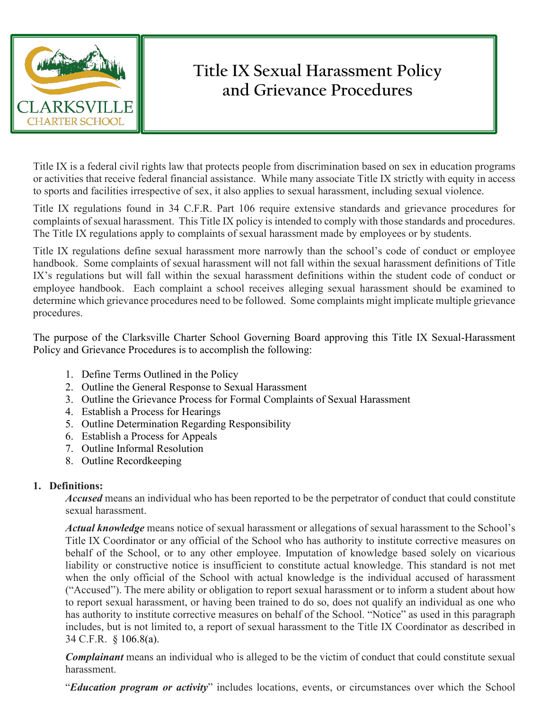

# **Title IX Sexual Harassment Policy and Grievance Procedures**

Title IX is a federal civil rights law that protects people from discrimination based on sex in education programs or activities that receive federal financial assistance. While many associate Title IX strictly with equity in access to sports and facilities irrespective of sex, it also applies to sexual harassment, including sexual violence.

Title IX regulations found in 34 C.F.R. Part 106 require extensive standards and grievance procedures for complaints of sexual harassment. This Title IX policy is intended to comply with those standards and procedures. The Title IX regulations apply to complaints of sexual harassment made by employees or by students.

Title IX regulations define sexual harassment more narrowly than the school's code of conduct or employee handbook. Some complaints of sexual harassment will not fall within the sexual harassment definitions of Title IX's regulations but will fall within the sexual harassment definitions within the student code of conduct or employee handbook. Each complaint a school receives alleging sexual harassment should be examined to determine which grievance procedures need to be followed. Some complaints might implicate multiple grievance procedures.

The purpose of the Clarksville Charter School Governing Board approving this Title IX Sexual-Harassment Policy and Grievance Procedures is to accomplish the following:

- 1. Define Terms Outlined in the Policy
- 2. Outline the General Response to Sexual Harassment
- 3. Outline the Grievance Process for Formal Complaints of Sexual Harassment
- 4. Establish a Process for Hearings
- 5. Outline Determination Regarding Responsibility
- 6. Establish a Process for Appeals
- 7. Outline Informal Resolution
- 8. Outline Recordkeeping

## **1. Definitions:**

*Accused* means an individual who has been reported to be the perpetrator of conduct that could constitute sexual harassment.

*Actual knowledge* means notice of sexual harassment or allegations of sexual harassment to the School's Title IX Coordinator or any official of the School who has authority to institute corrective measures on behalf of the School, or to any other employee. Imputation of knowledge based solely on vicarious liability or constructive notice is insufficient to constitute actual knowledge. This standard is not met when the only official of the School with actual knowledge is the individual accused of harassment ("Accused"). The mere ability or obligation to report sexual harassment or to inform a student about how to report sexual harassment, or having been trained to do so, does not qualify an individual as one who has authority to institute corrective measures on behalf of the School. "Notice" as used in this paragraph includes, but is not limited to, a report of sexual harassment to the Title IX Coordinator as described in 34 C.F.R. § 106.8(a).

*Complainant* means an individual who is alleged to be the victim of conduct that could constitute sexual harassment.

"*Education program or activity*" includes locations, events, or circumstances over which the School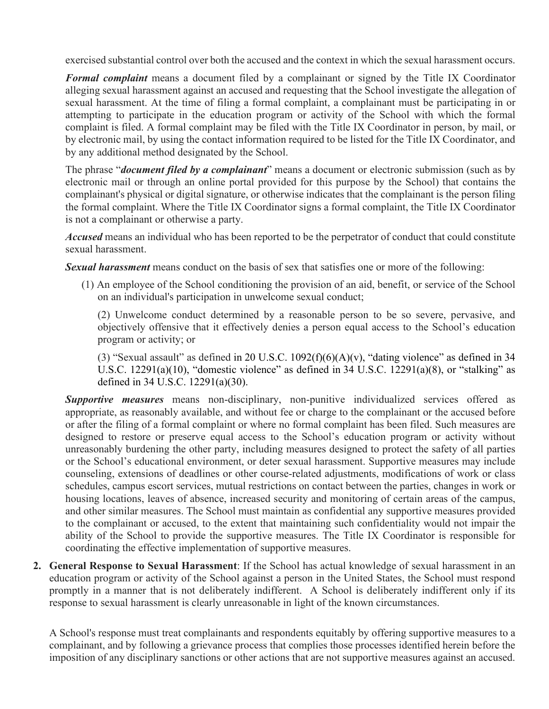exercised substantial control over both the accused and the context in which the sexual harassment occurs.

*Formal complaint* means a document filed by a complainant or signed by the Title IX Coordinator alleging sexual harassment against an accused and requesting that the School investigate the allegation of sexual harassment. At the time of filing a formal complaint, a complainant must be participating in or attempting to participate in the education program or activity of the School with which the formal complaint is filed. A formal complaint may be filed with the Title IX Coordinator in person, by mail, or by electronic mail, by using the contact information required to be listed for the Title IX Coordinator, and by any additional method designated by the School.

The phrase "*document filed by a complainant*" means a document or electronic submission (such as by electronic mail or through an online portal provided for this purpose by the School) that contains the complainant's physical or digital signature, or otherwise indicates that the complainant is the person filing the formal complaint. Where the Title IX Coordinator signs a formal complaint, the Title IX Coordinator is not a complainant or otherwise a party.

*Accused* means an individual who has been reported to be the perpetrator of conduct that could constitute sexual harassment.

*Sexual harassment* means conduct on the basis of sex that satisfies one or more of the following:

(1) An employee of the School conditioning the provision of an aid, benefit, or service of the School on an individual's participation in unwelcome sexual conduct;

(2) Unwelcome conduct determined by a reasonable person to be so severe, pervasive, and objectively offensive that it effectively denies a person equal access to the School's education program or activity; or

(3) "Sexual assault" as defined in 20 U.S.C.  $1092(f)(6)(A)(v)$ , "dating violence" as defined in 34 U.S.C. 12291(a)(10), "domestic violence" as defined in 34 U.S.C. 12291(a)(8), or "stalking" as defined in 34 U.S.C. 12291(a)(30).

*Supportive measures* means non-disciplinary, non-punitive individualized services offered as appropriate, as reasonably available, and without fee or charge to the complainant or the accused before or after the filing of a formal complaint or where no formal complaint has been filed. Such measures are designed to restore or preserve equal access to the School's education program or activity without unreasonably burdening the other party, including measures designed to protect the safety of all parties or the School's educational environment, or deter sexual harassment. Supportive measures may include counseling, extensions of deadlines or other course-related adjustments, modifications of work or class schedules, campus escort services, mutual restrictions on contact between the parties, changes in work or housing locations, leaves of absence, increased security and monitoring of certain areas of the campus, and other similar measures. The School must maintain as confidential any supportive measures provided to the complainant or accused, to the extent that maintaining such confidentiality would not impair the ability of the School to provide the supportive measures. The Title IX Coordinator is responsible for coordinating the effective implementation of supportive measures.

**2. General Response to Sexual Harassment**: If the School has actual knowledge of sexual harassment in an education program or activity of the School against a person in the United States, the School must respond promptly in a manner that is not deliberately indifferent. A School is deliberately indifferent only if its response to sexual harassment is clearly unreasonable in light of the known circumstances.

A School's response must treat complainants and respondents equitably by offering supportive measures to a complainant, and by following a grievance process that complies those processes identified herein before the imposition of any disciplinary sanctions or other actions that are not supportive measures against an accused.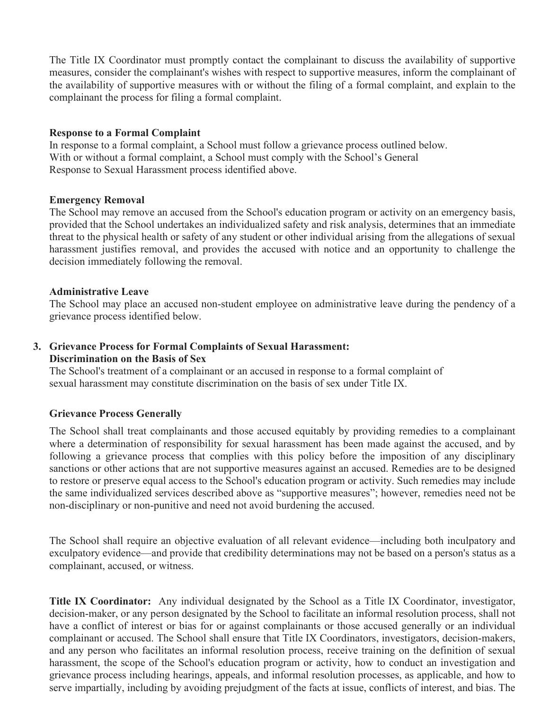The Title IX Coordinator must promptly contact the complainant to discuss the availability of supportive measures, consider the complainant's wishes with respect to supportive measures, inform the complainant of the availability of supportive measures with or without the filing of a formal complaint, and explain to the complainant the process for filing a formal complaint.

#### **Response to a Formal Complaint**

In response to a formal complaint, a School must follow a grievance process outlined below. With or without a formal complaint, a School must comply with the School's General Response to Sexual Harassment process identified above.

## **Emergency Removal**

The School may remove an accused from the School's education program or activity on an emergency basis, provided that the School undertakes an individualized safety and risk analysis, determines that an immediate threat to the physical health or safety of any student or other individual arising from the allegations of sexual harassment justifies removal, and provides the accused with notice and an opportunity to challenge the decision immediately following the removal.

## **Administrative Leave**

The School may place an accused non-student employee on administrative leave during the pendency of a grievance process identified below.

## **3. Grievance Process for Formal Complaints of Sexual Harassment: Discrimination on the Basis of Sex**

The School's treatment of a complainant or an accused in response to a formal complaint of sexual harassment may constitute discrimination on the basis of sex under Title IX.

## **Grievance Process Generally**

The School shall treat complainants and those accused equitably by providing remedies to a complainant where a determination of responsibility for sexual harassment has been made against the accused, and by following a grievance process that complies with this policy before the imposition of any disciplinary sanctions or other actions that are not supportive measures against an accused. Remedies are to be designed to restore or preserve equal access to the School's education program or activity. Such remedies may include the same individualized services described above as "supportive measures"; however, remedies need not be non-disciplinary or non-punitive and need not avoid burdening the accused.

The School shall require an objective evaluation of all relevant evidence—including both inculpatory and exculpatory evidence—and provide that credibility determinations may not be based on a person's status as a complainant, accused, or witness.

**Title IX Coordinator:** Any individual designated by the School as a Title IX Coordinator, investigator, decision-maker, or any person designated by the School to facilitate an informal resolution process, shall not have a conflict of interest or bias for or against complainants or those accused generally or an individual complainant or accused. The School shall ensure that Title IX Coordinators, investigators, decision-makers, and any person who facilitates an informal resolution process, receive training on the definition of sexual harassment, the scope of the School's education program or activity, how to conduct an investigation and grievance process including hearings, appeals, and informal resolution processes, as applicable, and how to serve impartially, including by avoiding prejudgment of the facts at issue, conflicts of interest, and bias. The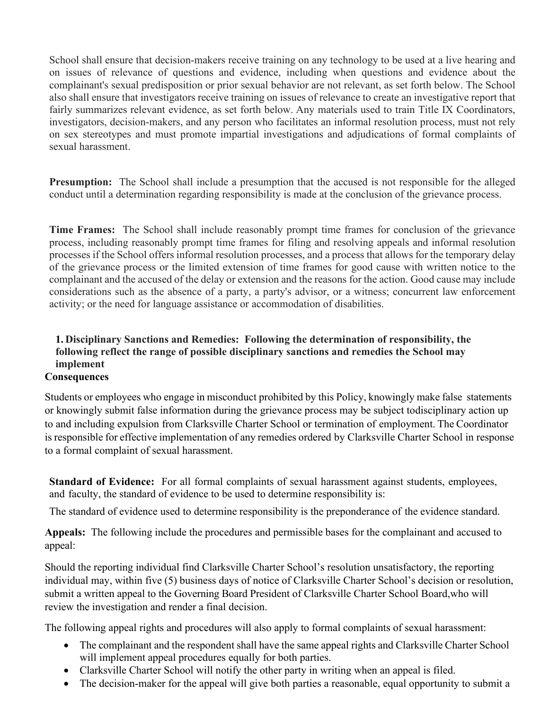School shall ensure that decision-makers receive training on any technology to be used at a live hearing and on issues of relevance of questions and evidence, including when questions and evidence about the complainant's sexual predisposition or prior sexual behavior are not relevant, as set forth below. The School also shall ensure that investigators receive training on issues of relevance to create an investigative report that fairly summarizes relevant evidence, as set forth below. Any materials used to train Title IX Coordinators, investigators, decision-makers, and any person who facilitates an informal resolution process, must not rely on sex stereotypes and must promote impartial investigations and adjudications of formal complaints of sexual harassment.

**Presumption:** The School shall include a presumption that the accused is not responsible for the alleged conduct until a determination regarding responsibility is made at the conclusion of the grievance process.

**Time Frames:** The School shall include reasonably prompt time frames for conclusion of the grievance process, including reasonably prompt time frames for filing and resolving appeals and informal resolution processes if the School offers informal resolution processes, and a process that allows for the temporary delay of the grievance process or the limited extension of time frames for good cause with written notice to the complainant and the accused of the delay or extension and the reasons for the action. Good cause may include considerations such as the absence of a party, a party's advisor, or a witness; concurrent law enforcement activity; or the need for language assistance or accommodation of disabilities.

## **1. Disciplinary Sanctions and Remedies: Following the determination of responsibility, the following reflect the range of possible disciplinary sanctions and remedies the School may implement**

## **Consequences**

Students or employees who engage in misconduct prohibited by this Policy, knowingly make false statements or knowingly submit false information during the grievance process may be subject to disciplinary action up to and including expulsion from Clarksville Charter School or termination of employment. The Coordinator is responsible for effective implementation of any remedies ordered by Clarksville Charter School in response to a formal complaint of sexual harassment.

**Standard of Evidence:** For all formal complaints of sexual harassment against students, employees, and faculty, the standard of evidence to be used to determine responsibility is:

The standard of evidence used to determine responsibility is the preponderance of the evidence standard.

**Appeals:** The following include the procedures and permissible bases for the complainant and accused to appeal:

Should the reporting individual find Clarksville Charter School's resolution unsatisfactory, the reporting individual may, within five (5) business days of notice of Clarksville Charter School's decision or resolution, submit a written appeal to the Governing Board President of Clarksville Charter School Board, who will review the investigation and render a final decision.

The following appeal rights and procedures will also apply to formal complaints of sexual harassment:

- The complainant and the respondent shall have the same appeal rights and Clarksville Charter School will implement appeal procedures equally for both parties.
- Clarksville Charter School will notify the other party in writing when an appeal is filed.
- The decision-maker for the appeal will give both parties a reasonable, equal opportunity to submit a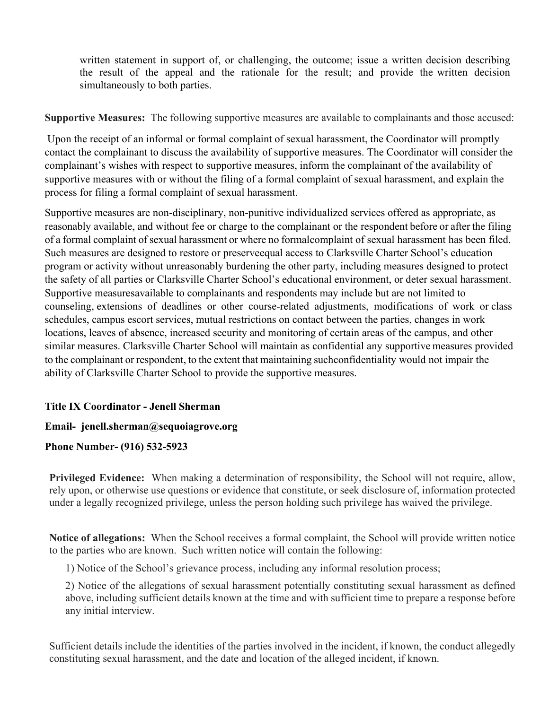written statement in support of, or challenging, the outcome; issue a written decision describing the result of the appeal and the rationale for the result; and provide the written decision simultaneously to both parties.

**Supportive Measures:** The following supportive measures are available to complainants and those accused:

 Upon the receipt of an informal or formal complaint of sexual harassment, the Coordinator will promptly contact the complainant to discuss the availability of supportive measures. The Coordinator will consider the complainant's wishes with respect to supportive measures, inform the complainant of the availability of supportive measures with or without the filing of a formal complaint of sexual harassment, and explain the process for filing a formal complaint of sexual harassment.

Supportive measures are non-disciplinary, non-punitive individualized services offered as appropriate, as reasonably available, and without fee or charge to the complainant or the respondent before or after the filing of a formal complaint of sexual harassment or where no formalcomplaint of sexual harassment has been filed. Such measures are designed to restore or preserve equal access to Clarksville Charter School's education program or activity without unreasonably burdening the other party, including measures designed to protect the safety of all parties or Clarksville Charter School's educational environment, or deter sexual harassment. Supportive measures available to complainants and respondents may include but are not limited to counseling, extensions of deadlines or other course-related adjustments, modifications of work or class schedules, campus escort services, mutual restrictions on contact between the parties, changes in work locations, leaves of absence, increased security and monitoring of certain areas of the campus, and other similar measures. Clarksville Charter School will maintain as confidential any supportive measures provided to the complainant or respondent, to the extent that maintaining suchconfidentiality would not impair the ability of Clarksville Charter School to provide the supportive measures.

## **Title IX Coordinator - Jenell Sherman**

#### **Email- [jenell.sherman@sequoiagrove.org](mailto:jenell.sherman@clarksvillecharter.org)**

#### **Phone Number- (916) 532-5923**

**Privileged Evidence:** When making a determination of responsibility, the School will not require, allow, rely upon, or otherwise use questions or evidence that constitute, or seek disclosure of, information protected under a legally recognized privilege, unless the person holding such privilege has waived the privilege.

**Notice of allegations:** When the School receives a formal complaint, the School will provide written notice to the parties who are known. Such written notice will contain the following:

1) Notice of the School's grievance process, including any informal resolution process;

2) Notice of the allegations of sexual harassment potentially constituting sexual harassment as defined above, including sufficient details known at the time and with sufficient time to prepare a response before any initial interview.

Sufficient details include the identities of the parties involved in the incident, if known, the conduct allegedly constituting sexual harassment, and the date and location of the alleged incident, if known.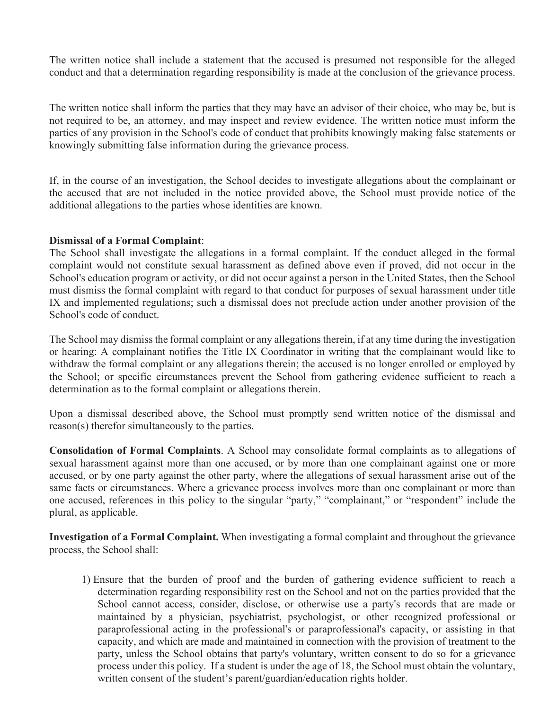The written notice shall include a statement that the accused is presumed not responsible for the alleged conduct and that a determination regarding responsibility is made at the conclusion of the grievance process.

The written notice shall inform the parties that they may have an advisor of their choice, who may be, but is not required to be, an attorney, and may inspect and review evidence. The written notice must inform the parties of any provision in the School's code of conduct that prohibits knowingly making false statements or knowingly submitting false information during the grievance process.

If, in the course of an investigation, the School decides to investigate allegations about the complainant or the accused that are not included in the notice provided above, the School must provide notice of the additional allegations to the parties whose identities are known.

#### **Dismissal of a Formal Complaint**:

The School shall investigate the allegations in a formal complaint. If the conduct alleged in the formal complaint would not constitute sexual harassment as defined above even if proved, did not occur in the School's education program or activity, or did not occur against a person in the United States, then the School must dismiss the formal complaint with regard to that conduct for purposes of sexual harassment under title IX and implemented regulations; such a dismissal does not preclude action under another provision of the School's code of conduct.

The School may dismiss the formal complaint or any allegations therein, if at any time during the investigation or hearing: A complainant notifies the Title IX Coordinator in writing that the complainant would like to withdraw the formal complaint or any allegations therein; the accused is no longer enrolled or employed by the School; or specific circumstances prevent the School from gathering evidence sufficient to reach a determination as to the formal complaint or allegations therein.

Upon a dismissal described above, the School must promptly send written notice of the dismissal and reason(s) therefor simultaneously to the parties.

**Consolidation of Formal Complaints**. A School may consolidate formal complaints as to allegations of sexual harassment against more than one accused, or by more than one complainant against one or more accused, or by one party against the other party, where the allegations of sexual harassment arise out of the same facts or circumstances. Where a grievance process involves more than one complainant or more than one accused, references in this policy to the singular "party," "complainant," or "respondent" include the plural, as applicable.

**Investigation of a Formal Complaint.** When investigating a formal complaint and throughout the grievance process, the School shall:

1) Ensure that the burden of proof and the burden of gathering evidence sufficient to reach a determination regarding responsibility rest on the School and not on the parties provided that the School cannot access, consider, disclose, or otherwise use a party's records that are made or maintained by a physician, psychiatrist, psychologist, or other recognized professional or paraprofessional acting in the professional's or paraprofessional's capacity, or assisting in that capacity, and which are made and maintained in connection with the provision of treatment to the party, unless the School obtains that party's voluntary, written consent to do so for a grievance process under this policy. If a student is under the age of 18, the School must obtain the voluntary, written consent of the student's parent/guardian/education rights holder.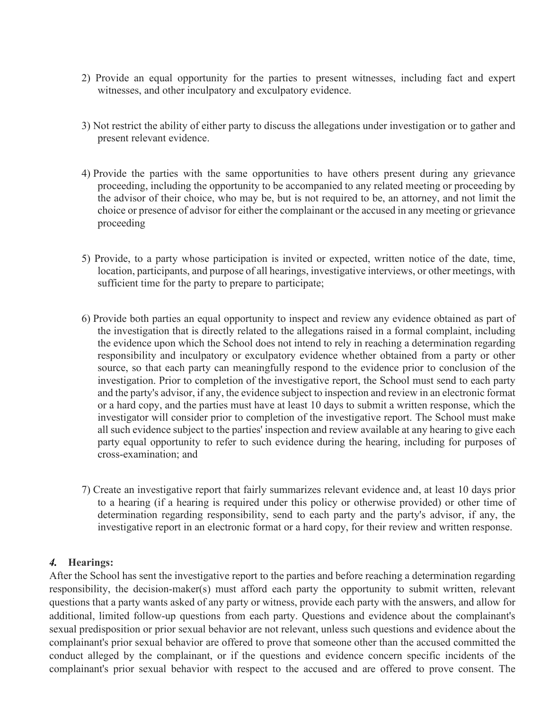- 2) Provide an equal opportunity for the parties to present witnesses, including fact and expert witnesses, and other inculpatory and exculpatory evidence.
- 3) Not restrict the ability of either party to discuss the allegations under investigation or to gather and present relevant evidence.
- 4) Provide the parties with the same opportunities to have others present during any grievance proceeding, including the opportunity to be accompanied to any related meeting or proceeding by the advisor of their choice, who may be, but is not required to be, an attorney, and not limit the choice or presence of advisor for either the complainant or the accused in any meeting or grievance proceeding
- 5) Provide, to a party whose participation is invited or expected, written notice of the date, time, location, participants, and purpose of all hearings, investigative interviews, or other meetings, with sufficient time for the party to prepare to participate;
- 6) Provide both parties an equal opportunity to inspect and review any evidence obtained as part of the investigation that is directly related to the allegations raised in a formal complaint, including the evidence upon which the School does not intend to rely in reaching a determination regarding responsibility and inculpatory or exculpatory evidence whether obtained from a party or other source, so that each party can meaningfully respond to the evidence prior to conclusion of the investigation. Prior to completion of the investigative report, the School must send to each party and the party's advisor, if any, the evidence subject to inspection and review in an electronic format or a hard copy, and the parties must have at least 10 days to submit a written response, which the investigator will consider prior to completion of the investigative report. The School must make all such evidence subject to the parties' inspection and review available at any hearing to give each party equal opportunity to refer to such evidence during the hearing, including for purposes of cross-examination; and
- 7) Create an investigative report that fairly summarizes relevant evidence and, at least 10 days prior to a hearing (if a hearing is required under this policy or otherwise provided) or other time of determination regarding responsibility, send to each party and the party's advisor, if any, the investigative report in an electronic format or a hard copy, for their review and written response.

#### *4.* **Hearings:**

After the School has sent the investigative report to the parties and before reaching a determination regarding responsibility, the decision-maker(s) must afford each party the opportunity to submit written, relevant questions that a party wants asked of any party or witness, provide each party with the answers, and allow for additional, limited follow-up questions from each party. Questions and evidence about the complainant's sexual predisposition or prior sexual behavior are not relevant, unless such questions and evidence about the complainant's prior sexual behavior are offered to prove that someone other than the accused committed the conduct alleged by the complainant, or if the questions and evidence concern specific incidents of the complainant's prior sexual behavior with respect to the accused and are offered to prove consent. The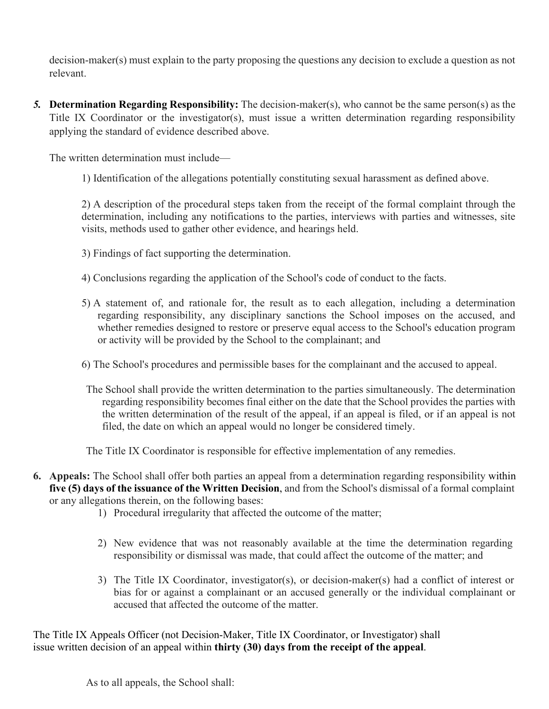decision-maker(s) must explain to the party proposing the questions any decision to exclude a question as not relevant.

*5.* **Determination Regarding Responsibility:** The decision-maker(s), who cannot be the same person(s) as the Title IX Coordinator or the investigator(s), must issue a written determination regarding responsibility applying the standard of evidence described above.

The written determination must include—

1) Identification of the allegations potentially constituting sexual harassment as defined above.

2) A description of the procedural steps taken from the receipt of the formal complaint through the determination, including any notifications to the parties, interviews with parties and witnesses, site visits, methods used to gather other evidence, and hearings held.

- 3) Findings of fact supporting the determination.
- 4) Conclusions regarding the application of the School's code of conduct to the facts.
- 5) A statement of, and rationale for, the result as to each allegation, including a determination regarding responsibility, any disciplinary sanctions the School imposes on the accused, and whether remedies designed to restore or preserve equal access to the School's education program or activity will be provided by the School to the complainant; and
- 6) The School's procedures and permissible bases for the complainant and the accused to appeal.
- The School shall provide the written determination to the parties simultaneously. The determination regarding responsibility becomes final either on the date that the School provides the parties with the written determination of the result of the appeal, if an appeal is filed, or if an appeal is not filed, the date on which an appeal would no longer be considered timely.

The Title IX Coordinator is responsible for effective implementation of any remedies.

- **6. Appeals:** The School shall offer both parties an appeal from a determination regarding responsibility within **five (5) days of the issuance of the Written Decision**, and from the School's dismissal of a formal complaint or any allegations therein, on the following bases:
	- 1) Procedural irregularity that affected the outcome of the matter;
	- 2) New evidence that was not reasonably available at the time the determination regarding responsibility or dismissal was made, that could affect the outcome of the matter; and
	- 3) The Title IX Coordinator, investigator(s), or decision-maker(s) had a conflict of interest or bias for or against a complainant or an accused generally or the individual complainant or accused that affected the outcome of the matter.

The Title IX Appeals Officer (not Decision-Maker, Title IX Coordinator, or Investigator) shall issue written decision of an appeal within **thirty (30) days from the receipt of the appeal**.

As to all appeals, the School shall: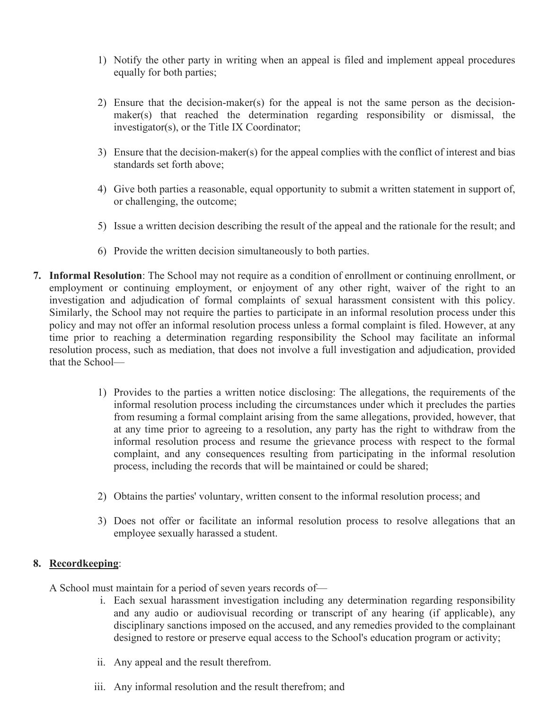- 1) Notify the other party in writing when an appeal is filed and implement appeal procedures equally for both parties;
- 2) Ensure that the decision-maker(s) for the appeal is not the same person as the decisionmaker(s) that reached the determination regarding responsibility or dismissal, the investigator(s), or the Title IX Coordinator;
- 3) Ensure that the decision-maker(s) for the appeal complies with the conflict of interest and bias standards set forth above;
- 4) Give both parties a reasonable, equal opportunity to submit a written statement in support of, or challenging, the outcome;
- 5) Issue a written decision describing the result of the appeal and the rationale for the result; and
- 6) Provide the written decision simultaneously to both parties.
- **7. Informal Resolution**: The School may not require as a condition of enrollment or continuing enrollment, or employment or continuing employment, or enjoyment of any other right, waiver of the right to an investigation and adjudication of formal complaints of sexual harassment consistent with this policy. Similarly, the School may not require the parties to participate in an informal resolution process under this policy and may not offer an informal resolution process unless a formal complaint is filed. However, at any time prior to reaching a determination regarding responsibility the School may facilitate an informal resolution process, such as mediation, that does not involve a full investigation and adjudication, provided that the School—
	- 1) Provides to the parties a written notice disclosing: The allegations, the requirements of the informal resolution process including the circumstances under which it precludes the parties from resuming a formal complaint arising from the same allegations, provided, however, that at any time prior to agreeing to a resolution, any party has the right to withdraw from the informal resolution process and resume the grievance process with respect to the formal complaint, and any consequences resulting from participating in the informal resolution process, including the records that will be maintained or could be shared;
	- 2) Obtains the parties' voluntary, written consent to the informal resolution process; and
	- 3) Does not offer or facilitate an informal resolution process to resolve allegations that an employee sexually harassed a student.

#### **8. Recordkeeping**:

A School must maintain for a period of seven years records of—

- i. Each sexual harassment investigation including any determination regarding responsibility and any audio or audiovisual recording or transcript of any hearing (if applicable), any disciplinary sanctions imposed on the accused, and any remedies provided to the complainant designed to restore or preserve equal access to the School's education program or activity;
- ii. Any appeal and the result therefrom.
- iii. Any informal resolution and the result therefrom; and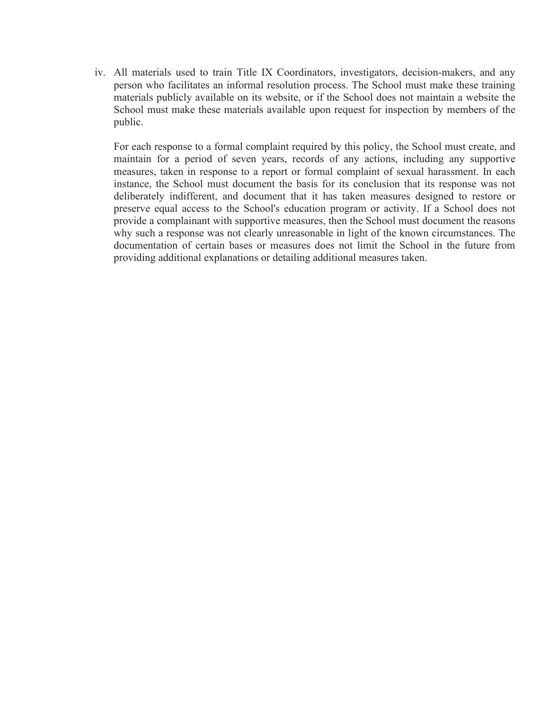iv. All materials used to train Title IX Coordinators, investigators, decision-makers, and any person who facilitates an informal resolution process. The School must make these training materials publicly available on its website, or if the School does not maintain a website the School must make these materials available upon request for inspection by members of the public.

For each response to a formal complaint required by this policy, the School must create, and maintain for a period of seven years, records of any actions, including any supportive measures, taken in response to a report or formal complaint of sexual harassment. In each instance, the School must document the basis for its conclusion that its response was not deliberately indifferent, and document that it has taken measures designed to restore or preserve equal access to the School's education program or activity. If a School does not provide a complainant with supportive measures, then the School must document the reasons why such a response was not clearly unreasonable in light of the known circumstances. The documentation of certain bases or measures does not limit the School in the future from providing additional explanations or detailing additional measures taken.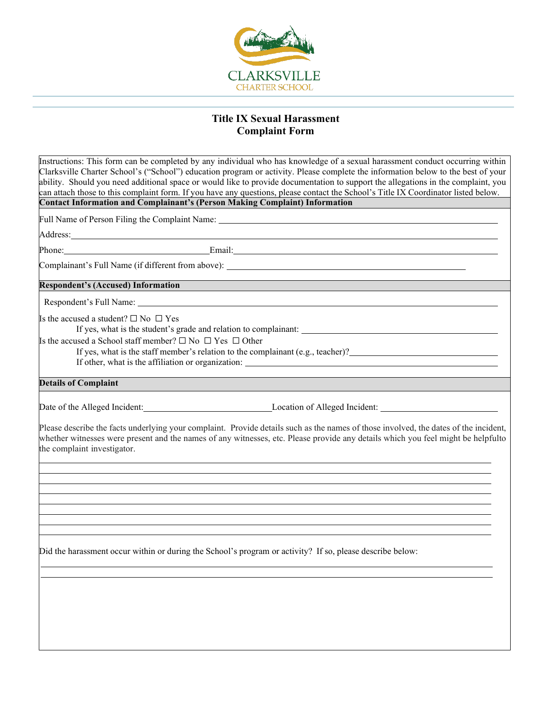

## **Title IX Sexual Harassment Complaint Form**

| Instructions: This form can be completed by any individual who has knowledge of a sexual harassment conduct occurring within<br>Clarksville Charter School's ("School") education program or activity. Please complete the information below to the best of your<br>ability. Should you need additional space or would like to provide documentation to support the allegations in the complaint, you                                                                                                                                                                                                                                                                                                                                                                                       |                                                      |  |
|---------------------------------------------------------------------------------------------------------------------------------------------------------------------------------------------------------------------------------------------------------------------------------------------------------------------------------------------------------------------------------------------------------------------------------------------------------------------------------------------------------------------------------------------------------------------------------------------------------------------------------------------------------------------------------------------------------------------------------------------------------------------------------------------|------------------------------------------------------|--|
| can attach those to this complaint form. If you have any questions, please contact the School's Title IX Coordinator listed below.<br><b>Contact Information and Complainant's (Person Making Complaint) Information</b><br>Full Name of Person Filing the Complaint Name:<br>Address: All Address: All Address: All Address: All Address: All Address: All Address: All Address: All Address: All Address: All Address: All Address: All Address: All Address: All Address: All Address: All Address: All A<br>Phone: Phone Phone Phone Phone Phone Phone Phone Phone Phone Phone Phone Phone Phone Phone Phone Phone Phone Phone Phone Phone Phone Phone Phone Phone Phone Phone Phone Phone Phone Phone Phone Phone Phone Phone Phone Phone<br><b>Respondent's (Accused) Information</b> |                                                      |  |
|                                                                                                                                                                                                                                                                                                                                                                                                                                                                                                                                                                                                                                                                                                                                                                                             |                                                      |  |
|                                                                                                                                                                                                                                                                                                                                                                                                                                                                                                                                                                                                                                                                                                                                                                                             |                                                      |  |
|                                                                                                                                                                                                                                                                                                                                                                                                                                                                                                                                                                                                                                                                                                                                                                                             |                                                      |  |
|                                                                                                                                                                                                                                                                                                                                                                                                                                                                                                                                                                                                                                                                                                                                                                                             |                                                      |  |
|                                                                                                                                                                                                                                                                                                                                                                                                                                                                                                                                                                                                                                                                                                                                                                                             |                                                      |  |
|                                                                                                                                                                                                                                                                                                                                                                                                                                                                                                                                                                                                                                                                                                                                                                                             |                                                      |  |
|                                                                                                                                                                                                                                                                                                                                                                                                                                                                                                                                                                                                                                                                                                                                                                                             |                                                      |  |
|                                                                                                                                                                                                                                                                                                                                                                                                                                                                                                                                                                                                                                                                                                                                                                                             |                                                      |  |
|                                                                                                                                                                                                                                                                                                                                                                                                                                                                                                                                                                                                                                                                                                                                                                                             |                                                      |  |
| Is the accused a School staff member? $\square$ No $\square$ Yes $\square$ Other<br><b>Details of Complaint</b><br>Please describe the facts underlying your complaint. Provide details such as the names of those involved, the dates of the incident,<br>whether witnesses were present and the names of any witnesses, etc. Please provide any details which you feel might be helpfulto<br>the complaint investigator.<br>Did the harassment occur within or during the School's program or activity? If so, please describe below:                                                                                                                                                                                                                                                     | Is the accused a student? $\square$ No $\square$ Yes |  |
|                                                                                                                                                                                                                                                                                                                                                                                                                                                                                                                                                                                                                                                                                                                                                                                             |                                                      |  |
|                                                                                                                                                                                                                                                                                                                                                                                                                                                                                                                                                                                                                                                                                                                                                                                             |                                                      |  |
|                                                                                                                                                                                                                                                                                                                                                                                                                                                                                                                                                                                                                                                                                                                                                                                             |                                                      |  |
|                                                                                                                                                                                                                                                                                                                                                                                                                                                                                                                                                                                                                                                                                                                                                                                             |                                                      |  |
|                                                                                                                                                                                                                                                                                                                                                                                                                                                                                                                                                                                                                                                                                                                                                                                             |                                                      |  |
|                                                                                                                                                                                                                                                                                                                                                                                                                                                                                                                                                                                                                                                                                                                                                                                             |                                                      |  |
|                                                                                                                                                                                                                                                                                                                                                                                                                                                                                                                                                                                                                                                                                                                                                                                             |                                                      |  |
|                                                                                                                                                                                                                                                                                                                                                                                                                                                                                                                                                                                                                                                                                                                                                                                             |                                                      |  |
|                                                                                                                                                                                                                                                                                                                                                                                                                                                                                                                                                                                                                                                                                                                                                                                             |                                                      |  |
|                                                                                                                                                                                                                                                                                                                                                                                                                                                                                                                                                                                                                                                                                                                                                                                             |                                                      |  |
|                                                                                                                                                                                                                                                                                                                                                                                                                                                                                                                                                                                                                                                                                                                                                                                             |                                                      |  |
|                                                                                                                                                                                                                                                                                                                                                                                                                                                                                                                                                                                                                                                                                                                                                                                             |                                                      |  |
|                                                                                                                                                                                                                                                                                                                                                                                                                                                                                                                                                                                                                                                                                                                                                                                             |                                                      |  |
|                                                                                                                                                                                                                                                                                                                                                                                                                                                                                                                                                                                                                                                                                                                                                                                             |                                                      |  |
|                                                                                                                                                                                                                                                                                                                                                                                                                                                                                                                                                                                                                                                                                                                                                                                             |                                                      |  |
|                                                                                                                                                                                                                                                                                                                                                                                                                                                                                                                                                                                                                                                                                                                                                                                             |                                                      |  |
|                                                                                                                                                                                                                                                                                                                                                                                                                                                                                                                                                                                                                                                                                                                                                                                             |                                                      |  |
|                                                                                                                                                                                                                                                                                                                                                                                                                                                                                                                                                                                                                                                                                                                                                                                             |                                                      |  |
|                                                                                                                                                                                                                                                                                                                                                                                                                                                                                                                                                                                                                                                                                                                                                                                             |                                                      |  |
|                                                                                                                                                                                                                                                                                                                                                                                                                                                                                                                                                                                                                                                                                                                                                                                             |                                                      |  |